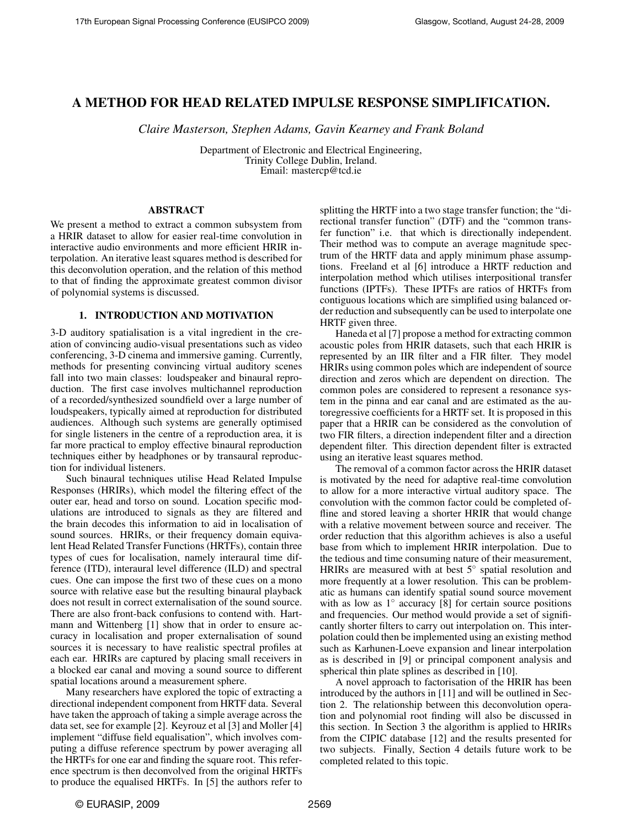# A METHOD FOR HEAD RELATED IMPULSE RESPONSE SIMPLIFICATION.

*Claire Masterson, Stephen Adams, Gavin Kearney and Frank Boland*

Department of Electronic and Electrical Engineering, Trinity College Dublin, Ireland. Email: mastercp@tcd.ie

# ABSTRACT

We present a method to extract a common subsystem from a HRIR dataset to allow for easier real-time convolution in interactive audio environments and more efficient HRIR interpolation. An iterative least squares method is described for this deconvolution operation, and the relation of this method to that of finding the approximate greatest common divisor of polynomial systems is discussed.

# 1. INTRODUCTION AND MOTIVATION

3-D auditory spatialisation is a vital ingredient in the creation of convincing audio-visual presentations such as video conferencing, 3-D cinema and immersive gaming. Currently, methods for presenting convincing virtual auditory scenes fall into two main classes: loudspeaker and binaural reproduction. The first case involves multichannel reproduction of a recorded/synthesized soundfield over a large number of loudspeakers, typically aimed at reproduction for distributed audiences. Although such systems are generally optimised for single listeners in the centre of a reproduction area, it is far more practical to employ effective binaural reproduction techniques either by headphones or by transaural reproduction for individual listeners.

Such binaural techniques utilise Head Related Impulse Responses (HRIRs), which model the filtering effect of the outer ear, head and torso on sound. Location specific modulations are introduced to signals as they are filtered and the brain decodes this information to aid in localisation of sound sources. HRIRs, or their frequency domain equivalent Head Related Transfer Functions (HRTFs), contain three types of cues for localisation, namely interaural time difference (ITD), interaural level difference (ILD) and spectral cues. One can impose the first two of these cues on a mono source with relative ease but the resulting binaural playback does not result in correct externalisation of the sound source. There are also front-back confusions to contend with. Hartmann and Wittenberg [1] show that in order to ensure accuracy in localisation and proper externalisation of sound sources it is necessary to have realistic spectral profiles at each ear. HRIRs are captured by placing small receivers in a blocked ear canal and moving a sound source to different spatial locations around a measurement sphere.

Many researchers have explored the topic of extracting a directional independent component from HRTF data. Several have taken the approach of taking a simple average across the data set, see for example [2]. Keyrouz et al [3] and Moller [4] implement "diffuse field equalisation", which involves computing a diffuse reference spectrum by power averaging all the HRTFs for one ear and finding the square root. This reference spectrum is then deconvolved from the original HRTFs to produce the equalised HRTFs. In [5] the authors refer to splitting the HRTF into a two stage transfer function; the "directional transfer function" (DTF) and the "common transfer function" i.e. that which is directionally independent. Their method was to compute an average magnitude spectrum of the HRTF data and apply minimum phase assumptions. Freeland et al [6] introduce a HRTF reduction and interpolation method which utilises interpositional transfer functions (IPTFs). These IPTFs are ratios of HRTFs from contiguous locations which are simplified using balanced order reduction and subsequently can be used to interpolate one HRTF given three.

Haneda et al [7] propose a method for extracting common acoustic poles from HRIR datasets, such that each HRIR is represented by an IIR filter and a FIR filter. They model HRIRs using common poles which are independent of source direction and zeros which are dependent on direction. The common poles are considered to represent a resonance system in the pinna and ear canal and are estimated as the autoregressive coefficients for a HRTF set. It is proposed in this paper that a HRIR can be considered as the convolution of two FIR filters, a direction independent filter and a direction dependent filter. This direction dependent filter is extracted using an iterative least squares method.

The removal of a common factor across the HRIR dataset is motivated by the need for adaptive real-time convolution to allow for a more interactive virtual auditory space. The convolution with the common factor could be completed offline and stored leaving a shorter HRIR that would change with a relative movement between source and receiver. The order reduction that this algorithm achieves is also a useful base from which to implement HRIR interpolation. Due to the tedious and time consuming nature of their measurement, HRIRs are measured with at best 5<sup>°</sup> spatial resolution and more frequently at a lower resolution. This can be problematic as humans can identify spatial sound source movement with as low as 1° accuracy [8] for certain source positions and frequencies. Our method would provide a set of significantly shorter filters to carry out interpolation on. This interpolation could then be implemented using an existing method such as Karhunen-Loeve expansion and linear interpolation as is described in [9] or principal component analysis and spherical thin plate splines as described in [10].

A novel approach to factorisation of the HRIR has been introduced by the authors in [11] and will be outlined in Section 2. The relationship between this deconvolution operation and polynomial root finding will also be discussed in this section. In Section 3 the algorithm is applied to HRIRs from the CIPIC database [12] and the results presented for two subjects. Finally, Section 4 details future work to be completed related to this topic.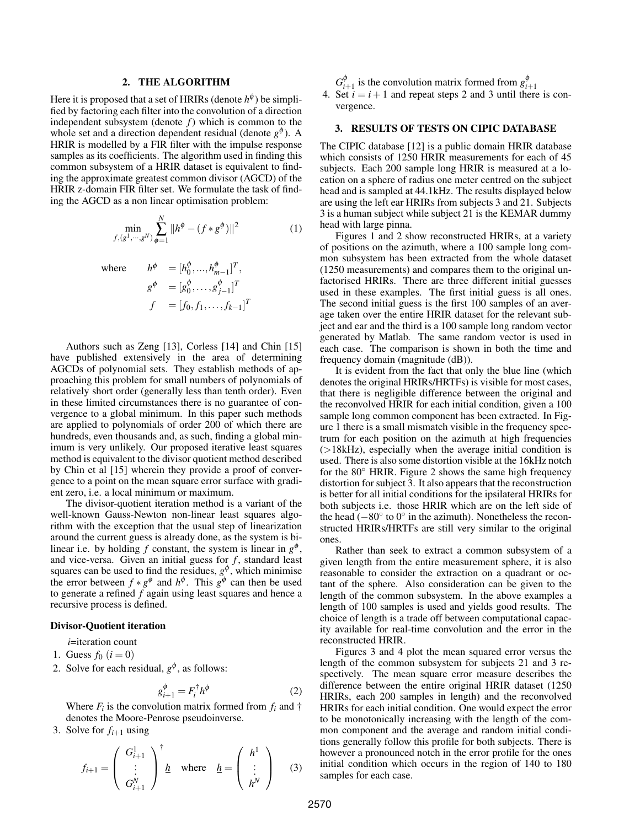### 2. THE ALGORITHM

Here it is proposed that a set of HRIRs (denote  $h^{\phi}$ ) be simplified by factoring each filter into the convolution of a direction independent subsystem (denote *f*) which is common to the whole set and a direction dependent residual (denote  $g^{\phi}$ ). A HRIR is modelled by a FIR filter with the impulse response samples as its coefficients. The algorithm used in finding this common subsystem of a HRIR dataset is equivalent to finding the approximate greatest common divisor (AGCD) of the HRIR z-domain FIR filter set. We formulate the task of finding the AGCD as a non linear optimisation problem:

$$
\min_{f,(g^1,\cdots,g^N)} \sum_{\phi=1}^N \|h^{\phi} - (f * g^{\phi})\|^2 \tag{1}
$$

where  $h^{\phi} = [h_0^{\phi}, ..., h_{m-1}^{\phi}]^T$ ,  $g^{\boldsymbol{\phi}}$  =  $[g^{\boldsymbol{\phi}}_0,\ldots,g^{\boldsymbol{\phi}}_{j-1}]^T$  $f = [f_0, f_1, \ldots, f_{k-1}]^T$ 

Authors such as Zeng [13], Corless [14] and Chin [15] have published extensively in the area of determining AGCDs of polynomial sets. They establish methods of approaching this problem for small numbers of polynomials of relatively short order (generally less than tenth order). Even in these limited circumstances there is no guarantee of convergence to a global minimum. In this paper such methods are applied to polynomials of order 200 of which there are hundreds, even thousands and, as such, finding a global minimum is very unlikely. Our proposed iterative least squares method is equivalent to the divisor quotient method described by Chin et al [15] wherein they provide a proof of convergence to a point on the mean square error surface with gradient zero, i.e. a local minimum or maximum.

The divisor-quotient iteration method is a variant of the well-known Gauss-Newton non-linear least squares algorithm with the exception that the usual step of linearization around the current guess is already done, as the system is bilinear i.e. by holding  $f$  constant, the system is linear in  $g^{\phi}$ , and vice-versa. Given an initial guess for  $f$ , standard least squares can be used to find the residues,  $g^{\phi}$ , which minimise the error between  $f * g^{\phi}$  and  $h^{\phi}$ . This  $g^{\phi}$  can then be used to generate a refined  $\tilde{f}$  again using least squares and hence a recursive process is defined.

### Divisor-Quotient iteration

*i*=iteration count

- 1. Guess  $f_0$   $(i = 0)$
- 2. Solve for each residual,  $g^{\phi}$ , as follows:

$$
g_{i+1}^{\phi} = F_i^{\dagger} h^{\phi} \tag{2}
$$

Where  $F_i$  is the convolution matrix formed from  $f_i$  and  $\dagger$ denotes the Moore-Penrose pseudoinverse.

3. Solve for  $f_{i+1}$  using

$$
f_{i+1} = \begin{pmatrix} G_{i+1}^1 \\ \vdots \\ G_{i+1}^N \end{pmatrix}^{\dagger} \underline{h} \quad \text{where} \quad \underline{h} = \begin{pmatrix} h^1 \\ \vdots \\ h^N \end{pmatrix} \quad (3)
$$

- 
- *G*<sup> $\phi$ </sup><sub>*i*+1</sub> is the convolution matrix formed from  $g^{\phi}_{i+1}$ <br>4. Set *i* = *i* + 1 and repeat steps 2 and 3 until there is convergence.

# 3. RESULTS OF TESTS ON CIPIC DATABASE

The CIPIC database [12] is a public domain HRIR database which consists of 1250 HRIR measurements for each of 45 subjects. Each 200 sample long HRIR is measured at a location on a sphere of radius one meter centred on the subject head and is sampled at 44.1kHz. The results displayed below are using the left ear HRIRs from subjects 3 and 21. Subjects 3 is a human subject while subject 21 is the KEMAR dummy head with large pinna.

Figures 1 and 2 show reconstructed HRIRs, at a variety of positions on the azimuth, where a 100 sample long common subsystem has been extracted from the whole dataset (1250 measurements) and compares them to the original unfactorised HRIRs. There are three different initial guesses used in these examples. The first initial guess is all ones. The second initial guess is the first 100 samples of an average taken over the entire HRIR dataset for the relevant subject and ear and the third is a 100 sample long random vector generated by Matlab. The same random vector is used in each case. The comparison is shown in both the time and frequency domain (magnitude (dB)).

It is evident from the fact that only the blue line (which denotes the original HRIRs/HRTFs) is visible for most cases, that there is negligible difference between the original and the reconvolved HRIR for each initial condition, given a 100 sample long common component has been extracted. In Figure 1 there is a small mismatch visible in the frequency spectrum for each position on the azimuth at high frequencies  $(>18kHz)$ , especially when the average initial condition is used. There is also some distortion visible at the 16kHz notch for the 80◦ HRIR. Figure 2 shows the same high frequency distortion for subject 3. It also appears that the reconstruction is better for all initial conditions for the ipsilateral HRIRs for both subjects i.e. those HRIR which are on the left side of the head  $(-80^\circ$  to  $0^\circ$  in the azimuth). Nonetheless the reconstructed HRIRs/HRTFs are still very similar to the original ones.

Rather than seek to extract a common subsystem of a given length from the entire measurement sphere, it is also reasonable to consider the extraction on a quadrant or octant of the sphere. Also consideration can be given to the length of the common subsystem. In the above examples a length of 100 samples is used and yields good results. The choice of length is a trade off between computational capacity available for real-time convolution and the error in the reconstructed HRIR.

Figures 3 and 4 plot the mean squared error versus the length of the common subsystem for subjects 21 and 3 respectively. The mean square error measure describes the difference between the entire original HRIR dataset (1250 HRIRs, each 200 samples in length) and the reconvolved HRIRs for each initial condition. One would expect the error to be monotonically increasing with the length of the common component and the average and random initial conditions generally follow this profile for both subjects. There is however a pronounced notch in the error profile for the ones initial condition which occurs in the region of 140 to 180 samples for each case.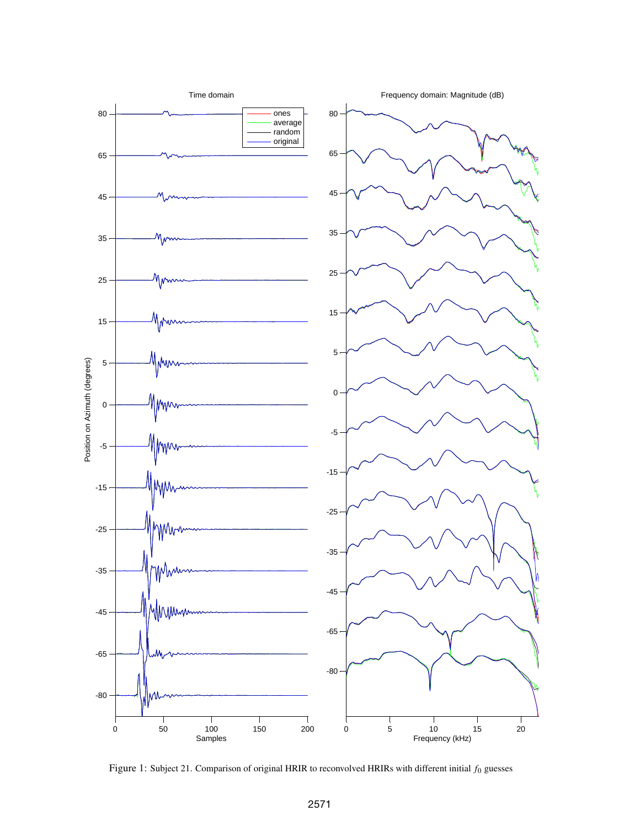

Figure 1: Subject 21. Comparison of original HRIR to reconvolved HRIRs with different initial *f*<sup>0</sup> guesses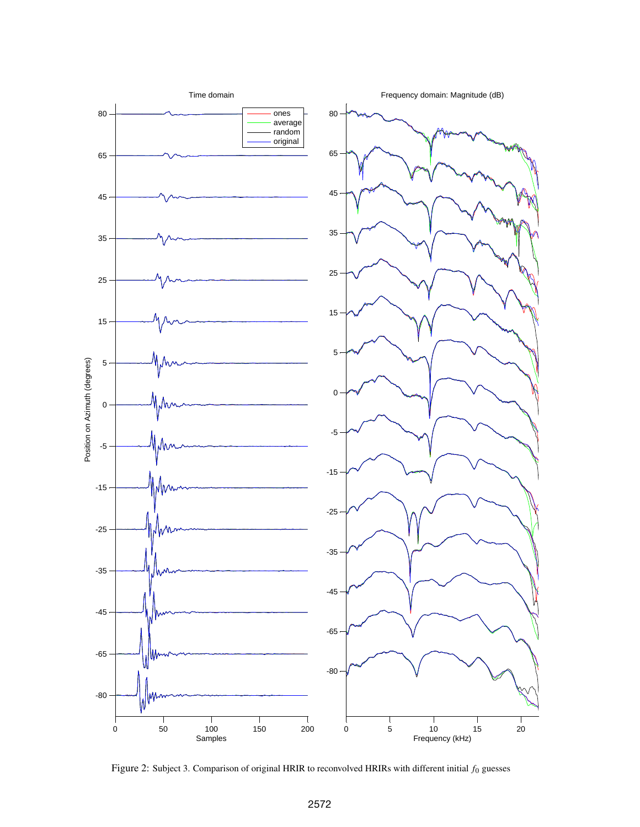

Figure 2: Subject 3. Comparison of original HRIR to reconvolved HRIRs with different initial *f*<sup>0</sup> guesses